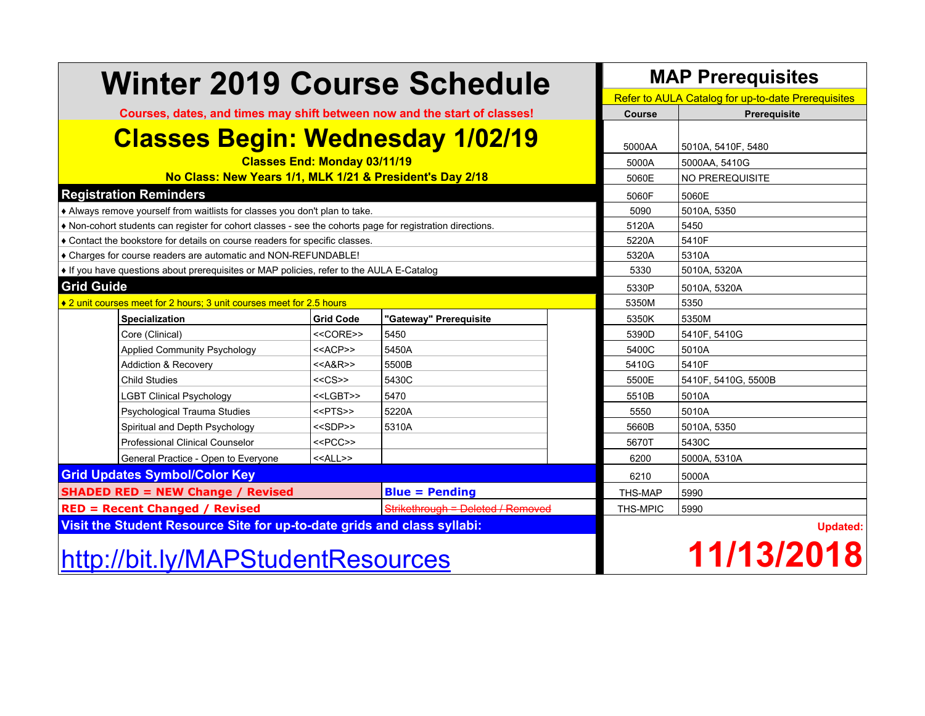| <b>Winter 2019 Course Schedule</b>                                                                      |                                         | <b>MAP Prerequisites</b>          |                 |  |                                                    |  |  |  |  |
|---------------------------------------------------------------------------------------------------------|-----------------------------------------|-----------------------------------|-----------------|--|----------------------------------------------------|--|--|--|--|
|                                                                                                         |                                         |                                   |                 |  | Refer to AULA Catalog for up-to-date Prerequisites |  |  |  |  |
| Courses, dates, and times may shift between now and the start of classes!                               |                                         |                                   | <b>Course</b>   |  | Prerequisite                                       |  |  |  |  |
|                                                                                                         | <b>Classes Begin: Wednesday 1/02/19</b> |                                   |                 |  |                                                    |  |  |  |  |
| <b>Classes End: Monday 03/11/19</b>                                                                     |                                         |                                   | 5000A           |  | 5000AA, 5410G                                      |  |  |  |  |
| No Class: New Years 1/1, MLK 1/21 & President's Day 2/18                                                | 5060E                                   |                                   | NO PREREQUISITE |  |                                                    |  |  |  |  |
| <b>Registration Reminders</b>                                                                           |                                         |                                   | 5060F           |  | 5060E                                              |  |  |  |  |
| Always remove yourself from waitlists for classes you don't plan to take.                               |                                         |                                   | 5090            |  | 5010A, 5350                                        |  |  |  |  |
| Non-cohort students can register for cohort classes - see the cohorts page for registration directions. |                                         |                                   | 5120A           |  | 5450                                               |  |  |  |  |
| ♦ Contact the bookstore for details on course readers for specific classes.                             |                                         |                                   | 5220A           |  | 5410F                                              |  |  |  |  |
| ♦ Charges for course readers are automatic and NON-REFUNDABLE!                                          |                                         |                                   | 5320A           |  | 5310A                                              |  |  |  |  |
| If you have questions about prerequisites or MAP policies, refer to the AULA E-Catalog                  |                                         |                                   | 5330            |  | 5010A, 5320A                                       |  |  |  |  |
| <b>Grid Guide</b>                                                                                       | 5330P                                   |                                   | 5010A, 5320A    |  |                                                    |  |  |  |  |
| ♦ 2 unit courses meet for 2 hours; 3 unit courses meet for 2.5 hours                                    |                                         |                                   | 5350M           |  | 5350                                               |  |  |  |  |
| Specialization                                                                                          | <b>Grid Code</b>                        | "Gateway" Prerequisite            | 5350K           |  | 5350M                                              |  |  |  |  |
| Core (Clinical)                                                                                         | $<<$ CORE>>                             | 5450                              | 5390D           |  | 5410F, 5410G                                       |  |  |  |  |
| Applied Community Psychology                                                                            | < <acp>&gt;</acp>                       | 5450A                             | 5400C           |  | 5010A                                              |  |  |  |  |
| <b>Addiction &amp; Recovery</b>                                                                         | $<<$ A&R>>                              | 5500B                             | 5410G           |  | 5410F                                              |  |  |  |  |
| <b>Child Studies</b>                                                                                    | $<<$ CS>>                               | 5430C                             | 5500E           |  | 5410F, 5410G, 5500B                                |  |  |  |  |
| <b>LGBT Clinical Psychology</b>                                                                         | < <lgbt>&gt;</lgbt>                     | 5470                              | 5510B           |  | 5010A                                              |  |  |  |  |
| Psychological Trauma Studies                                                                            | $<$ PTS $>$                             | 5220A                             | 5550            |  | 5010A                                              |  |  |  |  |
| Spiritual and Depth Psychology                                                                          | < <sdp>&gt;</sdp>                       | 5310A                             | 5660B           |  | 5010A, 5350                                        |  |  |  |  |
| Professional Clinical Counselor                                                                         | $<<$ PCC>>                              |                                   | 5670T           |  | 5430C                                              |  |  |  |  |
| General Practice - Open to Everyone                                                                     | < <all>&gt;</all>                       |                                   | 6200            |  | 5000A, 5310A                                       |  |  |  |  |
| <b>Grid Updates Symbol/Color Key</b>                                                                    |                                         |                                   | 6210            |  | 5000A                                              |  |  |  |  |
| <b>SHADED RED = NEW Change / Revised</b>                                                                | <b>Blue = Pending</b>                   |                                   |                 |  |                                                    |  |  |  |  |
| <b>RED = Recent Changed / Revised</b>                                                                   |                                         | Strikethrough = Deleted / Removed | THS-MPIC        |  | 5990                                               |  |  |  |  |
| Visit the Student Resource Site for up-to-date grids and class syllabi:                                 |                                         |                                   |                 |  | <b>Updated:</b>                                    |  |  |  |  |
| http://bit.ly/MAPStudentResources                                                                       |                                         |                                   | 11/13/2018      |  |                                                    |  |  |  |  |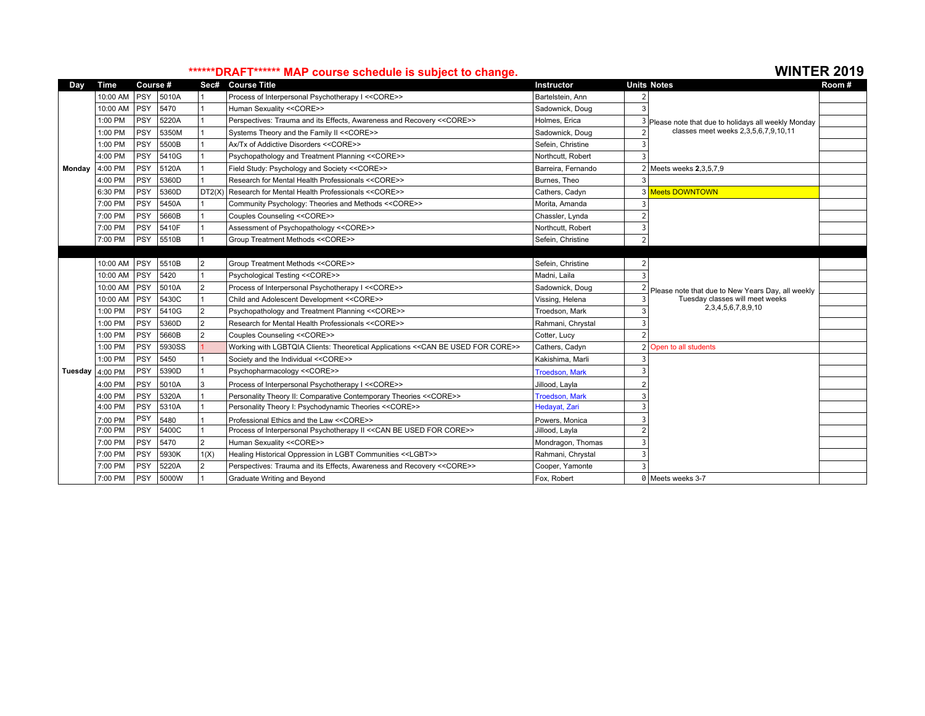## \*\*\*\*\*\*\*DRAFT\*\*\*\*\*\*\* MAP course schedule is subject to change.

| Dav                       | <b>Time</b> | Course #   |        | Sec#           | <b>Course Title</b>                                                              | <b>Instructor</b>     |                | <b>Units Notes</b>                                 | Room# |
|---------------------------|-------------|------------|--------|----------------|----------------------------------------------------------------------------------|-----------------------|----------------|----------------------------------------------------|-------|
|                           | 10:00 AM    | PSY        | 5010A  |                | Process of Interpersonal Psychotherapy I << CORE>>                               | Bartelstein, Ann      |                |                                                    |       |
|                           | 10:00 AM    | PSY        | 5470   |                | Human Sexuality << CORE>>                                                        | Sadownick, Doug       |                |                                                    |       |
|                           | 1:00 PM     | PSY        | 5220A  |                | Perspectives: Trauma and its Effects, Awareness and Recovery << CORE>>           | Holmes, Erica         |                | Please note that due to holidays all weekly Monday |       |
|                           | 1:00 PM     | <b>PSY</b> | 5350M  |                | Systems Theory and the Family II << CORE>>                                       | Sadownick, Doug       |                | classes meet weeks 2,3,5,6,7,9,10,11               |       |
|                           | 1:00 PM     | PSY        | 5500B  |                | Ax/Tx of Addictive Disorders << CORE>>                                           | Sefein, Christine     |                |                                                    |       |
|                           | 4:00 PM     | PSY        | 5410G  |                | Psychopathology and Treatment Planning << CORE>>                                 | Northcutt. Robert     | Е              |                                                    |       |
| Monday                    | 4:00 PM     | PSY        | 5120A  |                | Field Study: Psychology and Society << CORE>>                                    | Barreira, Fernando    |                | 2 Meets weeks 2,3,5,7,9                            |       |
|                           | 4:00 PM     | <b>PSY</b> | 5360D  |                | Research for Mental Health Professionals << CORE>>                               | Burnes, Theo          | 3              |                                                    |       |
|                           | 6:30 PM     | PSY        | 5360D  | DT2(X)         | Research for Mental Health Professionals << CORE>>                               | Cathers, Cadyn        |                | 3 Meets DOWNTOWN                                   |       |
|                           | 7:00 PM     | PSY        | 5450A  |                | Community Psychology: Theories and Methods << CORE>>                             | Morita, Amanda        |                |                                                    |       |
|                           | 7:00 PM     | <b>PSY</b> | 5660B  |                | Couples Counseling << CORE>>                                                     | Chassler, Lynda       | 2              |                                                    |       |
|                           | 7:00 PM     | PSY        | 5410F  |                | Assessment of Psychopathology << CORE>>                                          | Northcutt, Robert     | 3              |                                                    |       |
|                           | 7:00 PM     | PSY        | 5510B  |                | Group Treatment Methods << CORE>>                                                | Sefein, Christine     | $\overline{2}$ |                                                    |       |
|                           |             |            |        |                |                                                                                  |                       |                |                                                    |       |
|                           | 10:00 AM    | <b>PSY</b> | 5510B  | 2              | Group Treatment Methods << CORE>>                                                | Sefein, Christine     |                |                                                    |       |
|                           | 10:00 AM    | PSY        | 5420   |                | Psychological Testing << CORE>>                                                  | Madni, Laila          | $\mathbf{3}$   |                                                    |       |
|                           | 10:00 AM    | PSY        | 5010A  | $\overline{2}$ | Process of Interpersonal Psychotherapy I << CORE>>                               | Sadownick, Doug       |                | Please note that due to New Years Day, all weekly  |       |
|                           | 10:00 AM    | PSY        | 5430C  |                | Child and Adolescent Development << CORE>>                                       | Vissing, Helena       | 3              | Tuesday classes will meet weeks                    |       |
|                           | 1:00 PM     | PSY        | 5410G  | l 2            | Psychopathology and Treatment Planning << CORE>>                                 | Troedson, Mark        | p              | 2,3,4,5,6,7,8,9,10                                 |       |
|                           | 1:00 PM     | <b>PSY</b> | 5360D  | 2              | Research for Mental Health Professionals << CORE>>                               | Rahmani, Chrystal     |                |                                                    |       |
|                           | 1:00 PM     | PSY        | 5660B  | $\overline{2}$ | Couples Counseling << CORE>>                                                     | Cotter, Lucy          | $\mathcal{P}$  |                                                    |       |
|                           | 1:00 PM     | PSY        | 5930SS |                | Working with LGBTQIA Clients: Theoretical Applications << CAN BE USED FOR CORE>> | Cathers, Cadyn        |                | Open to all students                               |       |
|                           | 1:00 PM     | PSY        | 5450   |                | Society and the Individual << CORE>>                                             | Kakishima, Marli      | 3              |                                                    |       |
| Tuesday $4:00 \text{ PM}$ |             | PSY        | 5390D  |                | Psychopharmacology << CORE>>                                                     | <b>Troedson, Mark</b> |                |                                                    |       |
|                           | 4:00 PM     | PSY        | 5010A  | 3              | Process of Interpersonal Psychotherapy I << CORE>>                               | Jillood, Layla        |                |                                                    |       |
|                           | 4:00 PM     | PSY        | 5320A  |                | Personality Theory II: Comparative Contemporary Theories << CORE>>               | <b>Troedson, Mark</b> | З              |                                                    |       |
|                           | 4:00 PM     | PSY        | 5310A  |                | Personality Theory I: Psychodynamic Theories << CORE>>                           | Hedayat, Zari         | 3              |                                                    |       |
|                           | 7:00 PM     | PSY        | 5480   |                | Professional Ethics and the Law << CORE>>                                        | Powers, Monica        | 3              |                                                    |       |
|                           | 7:00 PM     | PSY        | 5400C  |                | Process of Interpersonal Psychotherapy II << CAN BE USED FOR CORE>>              | Jillood, Layla        | $\overline{2}$ |                                                    |       |
|                           | 7:00 PM     | PSY        | 5470   | $\overline{2}$ | Human Sexuality << CORE>>                                                        | Mondragon, Thomas     | 3              |                                                    |       |
|                           | 7:00 PM     | PSY        | 5930K  | 1(X)           | Healing Historical Oppression in LGBT Communities < <lgbt>&gt;</lgbt>            | Rahmani, Chrystal     | $\overline{3}$ |                                                    |       |
|                           | 7:00 PM     | <b>PSY</b> | 5220A  | $\overline{2}$ | Perspectives: Trauma and its Effects, Awareness and Recovery << CORE>>           | Cooper, Yamonte       | $\mathbf{3}$   |                                                    |       |
|                           | 7:00 PM     | PSY        | 5000W  |                | Graduate Writing and Beyond                                                      | Fox, Robert           |                | 0 Meets weeks 3-7                                  |       |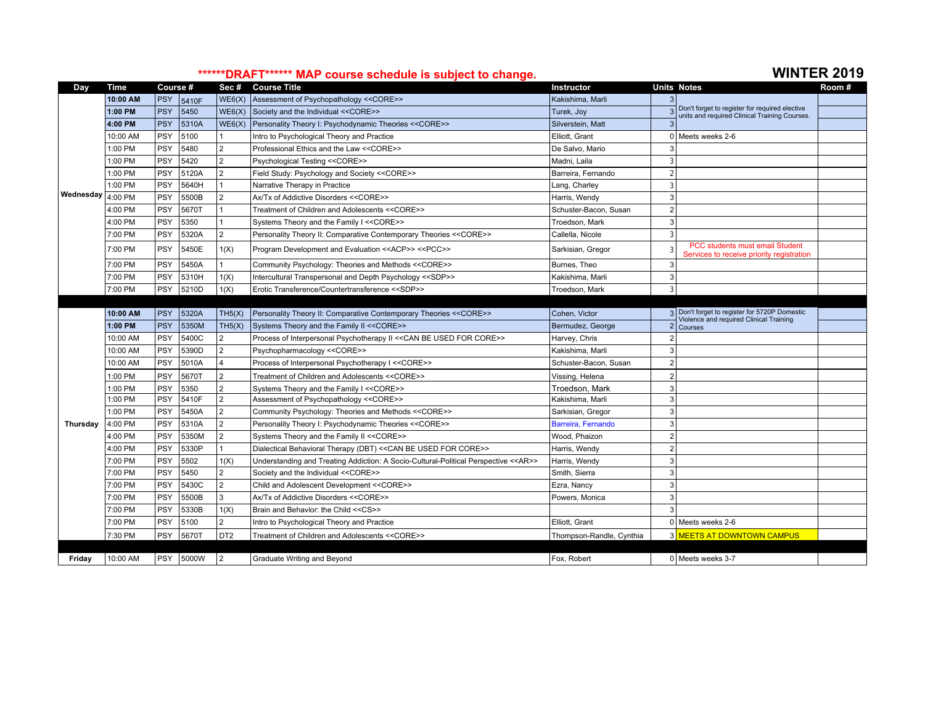# **\*\*\*\*\*\*DRAFT\*\*\*\*\*\* MAP course schedule is subject to change. WINTER 2019**

| Day             | <b>Time</b> | Course #   |           | Sec#            | <b>Course Title</b>                                                                            | <b>Instructor</b>        |                                                                              | <b>Units Notes</b>                                                                              | Room # |
|-----------------|-------------|------------|-----------|-----------------|------------------------------------------------------------------------------------------------|--------------------------|------------------------------------------------------------------------------|-------------------------------------------------------------------------------------------------|--------|
|                 | 10:00 AM    | <b>PSY</b> | 5410F     | WE6(X)          | Assessment of Psychopathology << CORE>>                                                        | Kakishima, Marli         |                                                                              |                                                                                                 |        |
|                 | 1:00 PM     | <b>PSY</b> | 5450      | WE6(X)          | Society and the Individual << CORE>>                                                           | Turek, Joy               |                                                                              | Don't forget to register for required elective<br>units and required Clinical Training Courses. |        |
|                 | 4:00 PM     | <b>PSY</b> | 5310A     | WE6(X)          | Personality Theory I: Psychodynamic Theories << CORE>>                                         | Silverstein, Matt        |                                                                              |                                                                                                 |        |
|                 | 10:00 AM    | PSY        | 5100      |                 | Intro to Psychological Theory and Practice                                                     | Elliott, Grant           |                                                                              | 0 Meets weeks 2-6                                                                               |        |
|                 | 1:00 PM     | <b>PSY</b> | 5480      | $\overline{2}$  | Professional Ethics and the Law << CORE>>                                                      | De Salvo, Mario          |                                                                              |                                                                                                 |        |
|                 | 1:00 PM     | PSY        | 5420      | $\overline{2}$  | Psychological Testing << CORE>>                                                                | Madni, Laila             | ্ব                                                                           |                                                                                                 |        |
|                 | 1:00 PM     | <b>PSY</b> | 5120A     | $\overline{2}$  | Field Study: Psychology and Society << CORE>>                                                  | Barreira, Fernando       |                                                                              |                                                                                                 |        |
|                 | 1:00 PM     | <b>PSY</b> | 5640H     |                 | Narrative Therapy in Practice                                                                  | Lang, Charley            | 3                                                                            |                                                                                                 |        |
| Wednesday       | 4:00 PM     | PSY        | 5500B     | $\mathfrak{p}$  | Ax/Tx of Addictive Disorders << CORE>>                                                         | Harris, Wendy            |                                                                              |                                                                                                 |        |
|                 | 4:00 PM     | PSY        | 5670T     |                 | Treatment of Children and Adolescents << CORE>>                                                | Schuster-Bacon, Susan    |                                                                              |                                                                                                 |        |
|                 | 4:00 PM     | PSY        | 5350      |                 | Systems Theory and the Family I << CORE>>                                                      | Troedson, Mark           | 3                                                                            |                                                                                                 |        |
|                 | 7:00 PM     | PSY        | 5320A     | $\overline{2}$  | Personality Theory II: Comparative Contemporary Theories << CORE>>                             | Callella, Nicole         |                                                                              |                                                                                                 |        |
|                 | 7:00 PM     | <b>PSY</b> | 5450E     | 1(X)            | Program Development and Evaluation < <acp>&gt; &lt;<pcc>&gt;<br/>Sarkisian, Gregor</pcc></acp> |                          | PCC students must email Student<br>Services to receive priority registration |                                                                                                 |        |
|                 | 7:00 PM     | PSY        | 5450A     |                 | Community Psychology: Theories and Methods << CORE>>                                           | Burnes, Theo             | 3                                                                            |                                                                                                 |        |
|                 | 7:00 PM     | PSY        | 5310H     | 1(X)            | Intercultural Transpersonal and Depth Psychology < <sdp>&gt;</sdp>                             | Kakishima, Marli         | 3                                                                            |                                                                                                 |        |
|                 | 7:00 PM     | PSY        | 5210D     | 1(X)            | Erotic Transference/Countertransference < <sdp>&gt;</sdp>                                      | Troedson, Mark           | 3                                                                            |                                                                                                 |        |
|                 |             |            |           |                 |                                                                                                |                          |                                                                              |                                                                                                 |        |
|                 | 10:00 AM    | <b>PSY</b> | 5320A     | TH5(X)          | Personality Theory II: Comparative Contemporary Theories << CORE>>                             | Cohen, Victor            |                                                                              | 3 Don't forget to register for 5720P Domestic<br>Violence and required Clinical Training        |        |
|                 | 1:00 PM     | <b>PSY</b> | 5350M     | TH5(X)          | Systems Theory and the Family II << CORE>>                                                     | Bermudez, George         |                                                                              | Courses                                                                                         |        |
|                 | 10:00 AM    | PSY        | 5400C     | $\overline{2}$  | Process of Interpersonal Psychotherapy II << CAN BE USED FOR CORE>>                            | Harvey, Chris            |                                                                              |                                                                                                 |        |
|                 | 10:00 AM    | <b>PSY</b> | 5390D     | $\overline{2}$  | Psychopharmacology << CORE>>                                                                   | Kakishima, Marli         | 3                                                                            |                                                                                                 |        |
|                 | 10:00 AM    | <b>PSY</b> | 5010A     |                 | Process of Interpersonal Psychotherapy I << CORE>>                                             | Schuster-Bacon, Susan    | $\mathcal{P}$                                                                |                                                                                                 |        |
|                 | 1:00 PM     | <b>PSY</b> | 5670T     | 2               | Treatment of Children and Adolescents << CORE>>                                                | Vissing, Helena          |                                                                              |                                                                                                 |        |
|                 | 1:00 PM     | PSY        | 5350      |                 | Systems Theory and the Family I << CORE>>                                                      | Troedson, Mark           |                                                                              |                                                                                                 |        |
|                 | 1:00 PM     | PSY        | 5410F     | $\overline{2}$  | Assessment of Psychopathology << CORE>>                                                        | Kakishima, Marli         | 3                                                                            |                                                                                                 |        |
|                 | 1:00 PM     | <b>PSY</b> | 5450A     | $\overline{2}$  | Community Psychology: Theories and Methods << CORE>>                                           | Sarkisian, Gregor        | 3                                                                            |                                                                                                 |        |
| <b>Thursdav</b> | 4:00 PM     | PSY        | 5310A     | $\mathfrak{p}$  | Personality Theory I: Psychodynamic Theories << CORE>>                                         | Barreira, Fernando       |                                                                              |                                                                                                 |        |
|                 | 4:00 PM     | PSY        | 5350M     |                 | Systems Theory and the Family II << CORE>>                                                     | Wood, Phaizon            |                                                                              |                                                                                                 |        |
|                 | 4:00 PM     | PSY        | 5330P     |                 | Dialectical Behavioral Therapy (DBT) << CAN BE USED FOR CORE>>                                 | Harris, Wendy            |                                                                              |                                                                                                 |        |
|                 | 7:00 PM     | <b>PSY</b> | 5502      | 1(X)            | Understanding and Treating Addiction: A Socio-Cultural-Political Perspective << AR>>           | Harris, Wendy            | 3                                                                            |                                                                                                 |        |
|                 | 7:00 PM     | PSY        | 5450      | $\overline{2}$  | Society and the Individual << CORE>>                                                           | Smith, Sierra            | 3                                                                            |                                                                                                 |        |
|                 | 7:00 PM     | <b>PSY</b> | 5430C     | $\overline{2}$  | Child and Adolescent Development << CORE>>                                                     | Ezra, Nancy              |                                                                              |                                                                                                 |        |
|                 | 7:00 PM     | PSY        | 5500B     | 3               | Ax/Tx of Addictive Disorders << CORE>>                                                         | Powers, Monica           | 3                                                                            |                                                                                                 |        |
|                 | 7:00 PM     | PSY        | 5330B     | 1(X)            | Brain and Behavior: the Child << CS>>                                                          |                          |                                                                              |                                                                                                 |        |
|                 | 7:00 PM     | PSY        | 5100      | $\overline{2}$  | Intro to Psychological Theory and Practice                                                     | Elliott, Grant           |                                                                              | $0$ Meets weeks 2-6                                                                             |        |
|                 | 7:30 PM     | <b>PSY</b> | 5670T     | DT <sub>2</sub> | Treatment of Children and Adolescents << CORE>>                                                | Thompson-Randle, Cynthia |                                                                              | 3 MEETS AT DOWNTOWN CAMPUS                                                                      |        |
|                 |             |            |           |                 |                                                                                                |                          |                                                                              |                                                                                                 |        |
| Friday          | 10:00 AM    |            | PSY 5000W | $\overline{2}$  | Graduate Writing and Beyond                                                                    | Fox. Robert              |                                                                              | 0 Meets weeks 3-7                                                                               |        |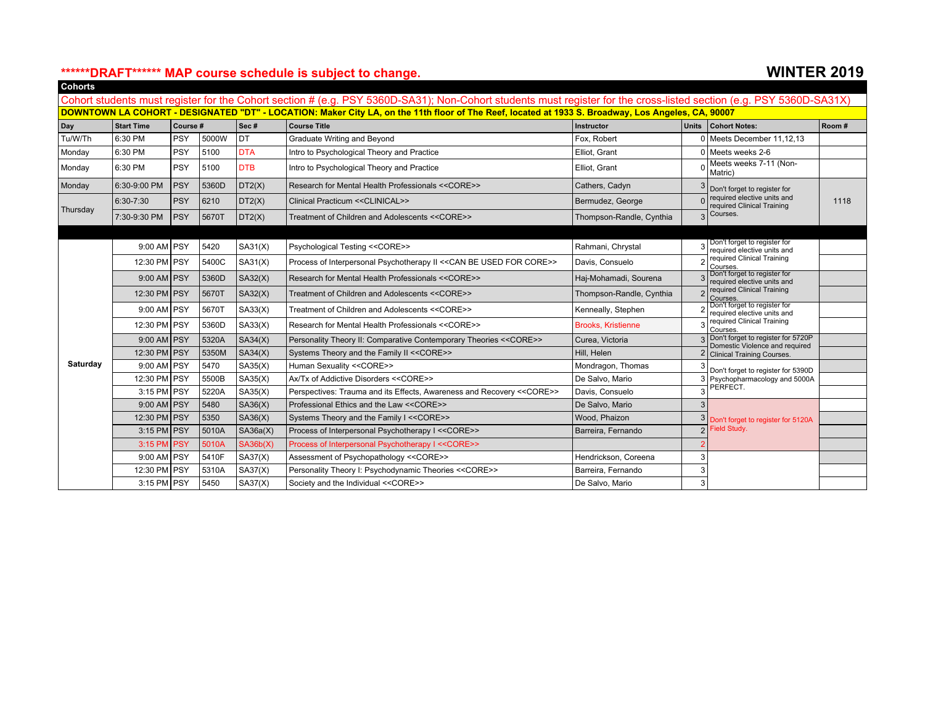### **\*\*\*\*\*\*DRAFT\*\*\*\*\*\* MAP course schedule is subject to change. WINTER 2019 Cohorts**

| 01101 to |               |                       |                                                                        |            | Cohort students must register for the Cohort section # (e.g. PSY 5360D-SA31); Non-Cohort students must register for the cross-listed section (e.g. PSY 5360D-SA31X) |                           |                                                           |                                                                      |       |
|----------|---------------|-----------------------|------------------------------------------------------------------------|------------|---------------------------------------------------------------------------------------------------------------------------------------------------------------------|---------------------------|-----------------------------------------------------------|----------------------------------------------------------------------|-------|
|          |               |                       |                                                                        |            | DOWNTOWN LA COHORT - DESIGNATED "DT" - LOCATION: Maker City LA, on the 11th floor of The Reef, located at 1933 S. Broadway, Los Angeles, CA, 90007                  |                           |                                                           |                                                                      |       |
| Day      | Start Time    | $ $ Sec #<br>Course # |                                                                        |            | <b>Course Title</b>                                                                                                                                                 | <b>Instructor</b>         | <b>Units</b>                                              | Cohort Notes:                                                        | Room# |
| Tu/W/Th  | 6:30 PM       | PSY                   | 5000W                                                                  | Idt        | Graduate Writing and Beyond                                                                                                                                         | Fox. Robert               |                                                           | 0 Meets December 11.12.13                                            |       |
| Monday   | 6:30 PM       | PSY                   | 5100                                                                   | <b>DTA</b> | Intro to Psychological Theory and Practice                                                                                                                          | Elliot, Grant             |                                                           | Meets weeks 2-6                                                      |       |
| Monday   | 6:30 PM       | PSY                   | 5100                                                                   | <b>DTB</b> | Intro to Psychological Theory and Practice                                                                                                                          | Elliot, Grant             |                                                           | Meets weeks 7-11 (Non-<br>Matric)                                    |       |
| Monday   | 6:30-9:00 PM  | <b>PSY</b>            | 5360D                                                                  | DT2(X)     | Research for Mental Health Professionals << CORE>>                                                                                                                  | Cathers, Cadyn            |                                                           | Don't forget to register for                                         |       |
|          | 6:30-7:30     | <b>PSY</b>            | 6210<br>DT2(X)<br>Clinical Practicum << CLINICAL>><br>Bermudez, George |            |                                                                                                                                                                     |                           | required elective units and<br>required Clinical Training | 1118                                                                 |       |
| Thursday | 7:30-9:30 PM  | PSY                   | 5670T                                                                  | DT2(X)     | Treatment of Children and Adolescents << CORE>>                                                                                                                     | Thompson-Randle, Cynthia  |                                                           | Courses.                                                             |       |
|          |               |                       |                                                                        |            |                                                                                                                                                                     |                           |                                                           |                                                                      |       |
|          | $9:00$ AM PSY | 5420<br>SA31(X)       |                                                                        |            | Psychological Testing << CORE>><br>Rahmani, Chrystal                                                                                                                |                           |                                                           | Don't forget to register for<br>required elective units and          |       |
|          | 12:30 PM PSY  |                       | 5400C                                                                  | SA31(X)    | Process of Interpersonal Psychotherapy II << CAN BE USED FOR CORE>>                                                                                                 | Davis, Consuelo           |                                                           | required Clinical Training<br>Courses.                               |       |
|          | $9:00$ AM PSY |                       | 5360D                                                                  | SA32(X)    | Research for Mental Health Professionals << CORE>>                                                                                                                  | Haj-Mohamadi, Sourena     |                                                           | Don't forget to register for<br>required elective units and          |       |
|          | 12:30 PM PSY  |                       | 5670T                                                                  | SA32(X)    | Treatment of Children and Adolescents << CORE>>                                                                                                                     | Thompson-Randle, Cynthia  |                                                           | required Clinical Training<br>Courses.                               |       |
|          | $9:00$ AM PSY |                       | 5670T                                                                  | SA33(X)    | Treatment of Children and Adolescents << CORE>>                                                                                                                     | Kenneally, Stephen        |                                                           | Don't forget to register for<br>required elective units and          |       |
|          | 12:30 PM PSY  |                       | 5360D                                                                  | SA33(X)    | Research for Mental Health Professionals << CORE>>                                                                                                                  | <b>Brooks, Kristienne</b> |                                                           | required Clinical Training<br>Courses.                               |       |
|          | $9:00$ AM PSY |                       | 5320A                                                                  | SA34(X)    | Personality Theory II: Comparative Contemporary Theories << CORE>>                                                                                                  | Curea, Victoria           |                                                           | Don't forget to register for 5720P<br>Domestic Violence and required |       |
|          | 12:30 PM PSY  |                       | 5350M                                                                  | SA34(X)    | Systems Theory and the Family II << CORE>>                                                                                                                          | Hill. Helen               |                                                           | <b>Clinical Training Courses.</b>                                    |       |
| Saturday | $9:00$ AM PSY |                       | 5470                                                                   | SA35(X)    | Human Sexuality << CORE>>                                                                                                                                           | Mondragon, Thomas         |                                                           | Don't forget to register for 5390D                                   |       |
|          | 12:30 PM PSY  |                       | 5500B                                                                  | SA35(X)    | Ax/Tx of Addictive Disorders << CORE>>                                                                                                                              | De Salvo, Mario           |                                                           | Psychopharmacology and 5000A                                         |       |
|          | $3:15$ PM PSY |                       | 5220A                                                                  | SA35(X)    | Perspectives: Trauma and its Effects, Awareness and Recovery << CORE>>                                                                                              | Davis, Consuelo           |                                                           | PERFECT.                                                             |       |
|          | $9:00$ AM PSY |                       | 5480                                                                   | SA36(X)    | Professional Ethics and the Law << CORE>>                                                                                                                           | De Salvo, Mario           |                                                           |                                                                      |       |
|          | 12:30 PM PSY  |                       | 5350                                                                   | SA36(X)    | Systems Theory and the Family I << CORE>>                                                                                                                           | Wood, Phaizon             |                                                           | Don't forget to register for 5120A                                   |       |
|          | $3:15$ PM PSY |                       | 5010A                                                                  | SA36a(X)   | Process of Interpersonal Psychotherapy I << CORE>>                                                                                                                  | Barreira, Fernando        | Field Study.<br>$\mathcal{D}$                             |                                                                      |       |
|          | 3:15 PM PSY   |                       | 5010A                                                                  | SA36b(X)   | Process of Interpersonal Psychotherapy I << CORE>>                                                                                                                  |                           |                                                           |                                                                      |       |
|          | $9:00$ AM PSY |                       | 5410F                                                                  | SA37(X)    | Assessment of Psychopathology << CORE>>                                                                                                                             | Hendrickson, Coreena      |                                                           |                                                                      |       |
|          | 12:30 PM PSY  |                       | 5310A                                                                  | SA37(X)    | Personality Theory I: Psychodynamic Theories << CORE>>                                                                                                              | Barreira, Fernando        |                                                           |                                                                      |       |
|          | $3:15$ PM PSY |                       | 5450                                                                   | SA37(X)    | Society and the Individual << CORE>>                                                                                                                                | De Salvo, Mario           |                                                           |                                                                      |       |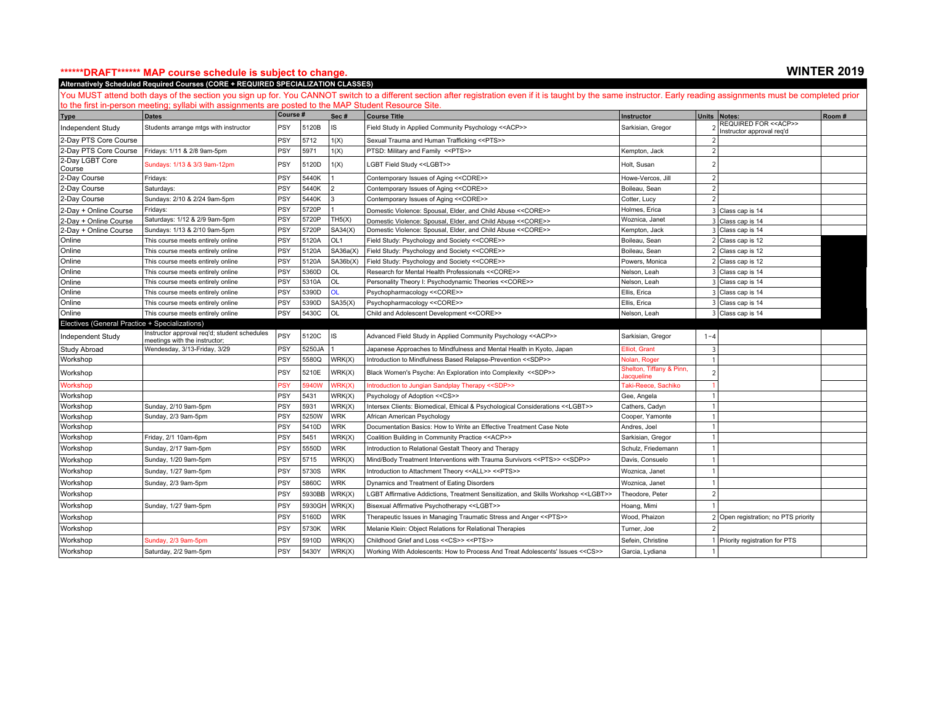### **\*\*\*\*\*\*DRAFT\*\*\*\*\*\* MAP course schedule is subject to change. WINTER 2019**

**Alternatively Scheduled Required Courses (CORE + REQUIRED SPECIALIZATION CLASSES)**

|                                                | to the first in-person meeting; syllabi with assignments are posted to the MAP Student Resource Site.<br><b>Dates</b> | Course #   |        | Sec#            | <b>Course Title</b>                                                                           | Instructor                                   |                | Units   Notes:                                               | Room# |
|------------------------------------------------|-----------------------------------------------------------------------------------------------------------------------|------------|--------|-----------------|-----------------------------------------------------------------------------------------------|----------------------------------------------|----------------|--------------------------------------------------------------|-------|
| <b>Type</b><br>Independent Study               | Students arrange mtgs with instructor                                                                                 | PSY        | 5120B  | IS              | Field Study in Applied Community Psychology << ACP>>                                          | Sarkisian, Gregor                            |                | REQUIRED FOR < <acp>&gt;<br/>Instructor approval req'd</acp> |       |
| 2-Day PTS Core Course                          |                                                                                                                       | <b>PSY</b> | 5712   | 1(X)            | Sexual Trauma and Human Trafficking < <pts>&gt;</pts>                                         |                                              |                |                                                              |       |
| 2-Day PTS Core Course                          | Fridays: 1/11 & 2/8 9am-5pm                                                                                           | PSY        | 5971   | 1(X)            | PTSD: Military and Family << PTS>>                                                            | Kempton, Jack                                |                |                                                              |       |
| 2-Day LGBT Core<br>Course                      | Sundays: 1/13 & 3/3 9am-12pm                                                                                          | <b>PSY</b> | 5120D  | 1(X)            | LGBT Field Study < <lgbt>&gt;</lgbt>                                                          | Holt, Susan                                  |                |                                                              |       |
| 2-Day Course                                   | Fridays:                                                                                                              | <b>PSY</b> | 5440K  |                 | Contemporary Issues of Aging << CORE>>                                                        | Howe-Vercos, Jill                            | $\mathcal{P}$  |                                                              |       |
| 2-Day Course                                   | Saturdays:                                                                                                            | PSY        | 5440K  |                 | Contemporary Issues of Aging << CORE>>                                                        | Boileau, Sean                                | $\mathfrak{D}$ |                                                              |       |
| 2-Day Course                                   | Sundays: 2/10 & 2/24 9am-5pm                                                                                          | PSY        | 5440K  | 3               | Contemporary Issues of Aging << CORE>>                                                        | Cotter, Lucy                                 | $\mathcal{P}$  |                                                              |       |
| 2-Day + Online Course                          | Fridays:                                                                                                              | PSY        | 5720P  |                 | Domestic Violence: Spousal, Elder, and Child Abuse << CORE>>                                  | Holmes, Erica                                |                | 3 Class cap is 14                                            |       |
| 2-Day + Online Course                          | Saturdays: 1/12 & 2/9 9am-5pm                                                                                         | PSY        | 5720P  | TH5(X)          | Domestic Violence: Spousal, Elder, and Child Abuse << CORE>>                                  | Woznica, Janet                               |                | 3 Class cap is 14                                            |       |
| 2-Day + Online Course                          | Sundays: 1/13 & 2/10 9am-5pm                                                                                          | PSY        | 5720P  | SA34(X)         | Domestic Violence: Spousal, Elder, and Child Abuse << CORE>>                                  | Kempton, Jack                                |                | 3 Class cap is 14                                            |       |
| Online                                         | This course meets entirely online                                                                                     | PSY        | 5120A  | OL <sub>1</sub> | Field Study: Psychology and Society << CORE>>                                                 | Boileau, Sean                                |                | 2 Class cap is 12                                            |       |
| Online                                         | This course meets entirely online                                                                                     | PSY        | 5120A  | SA36a(X)        | Field Study: Psychology and Society << CORE>>                                                 | Boileau, Sean                                |                | 2 Class cap is 12                                            |       |
| Online                                         | This course meets entirely online                                                                                     | PSY        | 5120A  | SA36b(X)        | Field Study: Psychology and Society << CORE>>                                                 | Powers, Monica                               |                | $2$ Class cap is 12                                          |       |
| Online                                         | This course meets entirely online                                                                                     | PSY        | 5360D  | OL              | Research for Mental Health Professionals << CORE>>                                            | Nelson, Leah                                 |                | 3 Class cap is 14                                            |       |
| Online                                         | This course meets entirely online                                                                                     | PSY        | 5310A  | OL              | Personality Theory I: Psychodynamic Theories << CORE>>                                        | Nelson, Leah                                 |                | 3 Class cap is 14                                            |       |
| Online                                         | This course meets entirely online                                                                                     | PSY        | 5390D  | <b>OL</b>       | Psychopharmacology << CORE>>                                                                  | Ellis, Erica                                 |                | 3 Class cap is 14                                            |       |
| Online                                         | This course meets entirely online                                                                                     | <b>PSY</b> | 5390D  | SA35(X)         | Psychopharmacology << CORE>>                                                                  | Ellis, Erica                                 |                | 3 Class cap is 14                                            |       |
| Online                                         | This course meets entirely online                                                                                     | PSY        | 5430C  | OL              | Child and Adolescent Development << CORE>>                                                    | Nelson, Leah                                 |                | 3 Class cap is 14                                            |       |
| Electives (General Practice + Specializations) |                                                                                                                       |            |        |                 |                                                                                               |                                              |                |                                                              |       |
| Independent Study                              | Instructor approval reg'd; student schedules<br>meetings with the instructor;                                         | PSY        | 5120C  | IS              | Advanced Field Study in Applied Community Psychology << ACP>>                                 | Sarkisian, Gregor                            | $1 - 4$        |                                                              |       |
| Study Abroad                                   | Wendesday, 3/13-Friday, 3/29                                                                                          | PSY        | 5250JA |                 | Japanese Approaches to Mindfulness and Mental Health in Kyoto, Japan                          | Elliot, Grant                                | $\overline{3}$ |                                                              |       |
| Workshop                                       |                                                                                                                       | PSY        | 5580Q  | WRK(X)          | Introduction to Mindfulness Based Relapse-Prevention < <sdp>&gt;</sdp>                        | Nolan, Roger                                 |                |                                                              |       |
| Workshop                                       |                                                                                                                       | PSY        | 5210E  | WRK(X)          | Black Women's Psyche: An Exploration into Complexity < <sdp>&gt;</sdp>                        | Shelton, Tiffany & Pinn,<br><b>acqueline</b> |                |                                                              |       |
| Workshop                                       |                                                                                                                       | PSY        | 5940V  | WRK(X)          | ntroduction to Jungian Sandplay Therapy < <sdp>&gt;</sdp>                                     | Taki-Reece, Sachiko                          |                |                                                              |       |
| Workshop                                       |                                                                                                                       | PSY        | 5431   | WRK(X)          | Psychology of Adoption << CS>>                                                                | Gee, Angela                                  |                |                                                              |       |
| Workshop                                       | Sunday, 2/10 9am-5pm                                                                                                  | PSY        | 5931   | WRK(X)          | Intersex Clients: Biomedical, Ethical & Psychological Considerations < <lgbt>&gt;</lgbt>      | Cathers, Cadyn                               |                |                                                              |       |
| Workshop                                       | Sunday, 2/3 9am-5pm                                                                                                   | PSY        | 5250W  | <b>WRK</b>      | African American Psychology                                                                   | Cooper, Yamonte                              |                |                                                              |       |
| Workshop                                       |                                                                                                                       | PSY        | 5410D  | <b>WRK</b>      | Documentation Basics: How to Write an Effective Treatment Case Note                           | Andres, Joel                                 |                |                                                              |       |
| Workshop                                       | Friday, 2/1 10am-6pm                                                                                                  | PSY        | 5451   | WRK(X)          | Coalition Building in Community Practice << ACP>>                                             | Sarkisian, Gregor                            |                |                                                              |       |
| Workshop                                       | Sunday, 2/17 9am-5pm                                                                                                  | PSY        | 5550D  | <b>WRK</b>      | Introduction to Relational Gestalt Theory and Therapy                                         | Schulz, Friedemann                           |                |                                                              |       |
| Workshop                                       | Sunday, 1/20 9am-5pm                                                                                                  | PSY        | 5715   | WRK(X)          | Mind/Body Treatment Interventions with Trauma Survivors < <pts>&gt; &lt;<sdp>&gt;</sdp></pts> | Davis, Consuelo                              |                |                                                              |       |
| Workshop                                       | Sunday, 1/27 9am-5pm                                                                                                  | <b>PSY</b> | 5730S  | <b>WRK</b>      | Introduction to Attachment Theory < <all>&gt; &lt;<pts>&gt;</pts></all>                       | Woznica, Janet                               |                |                                                              |       |
| Workshop                                       | Sunday, 2/3 9am-5pm                                                                                                   | PSY        | 5860C  | <b>WRK</b>      | Dynamics and Treatment of Eating Disorders                                                    | Woznica, Janet                               |                |                                                              |       |
| Workshop                                       |                                                                                                                       | PSY        | 5930BB | WRK(X)          | LGBT Affirmative Addictions, Treatment Sensitization, and Skills Workshop < <lgbt>&gt;</lgbt> | Theodore, Peter                              | $\mathcal{P}$  |                                                              |       |
| Workshop                                       | Sunday, 1/27 9am-5pm                                                                                                  | <b>PSY</b> | 5930GH | WRK(X)          | Bisexual Affirmative Psychotherapy < <lgbt>&gt;</lgbt>                                        | Hoang, Mimi                                  |                |                                                              |       |
| Workshop                                       |                                                                                                                       | PSY        | 5160D  | <b>WRK</b>      | Therapeutic Issues in Managing Traumatic Stress and Anger << PTS>>                            | Wood, Phaizon                                |                | 2 Open registration; no PTS priority                         |       |
| Workshop                                       |                                                                                                                       | PSY        | 5730K  | <b>WRK</b>      | Melanie Klein: Object Relations for Relational Therapies                                      | Turner, Joe                                  |                |                                                              |       |
| Workshop                                       | Sunday, 2/3 9am-5pm                                                                                                   | PSY        | 5910D  | WRK(X)          | Childhood Grief and Loss << CS>> << PTS>>                                                     | Sefein, Christine                            |                | Priority registration for PTS                                |       |
| Workshop                                       | Saturday, 2/2 9am-5pm                                                                                                 | PSY        | 5430Y  | WRK(X)          | Working With Adolescents: How to Process And Treat Adolescents' Issues << CS>>                | Garcia, Lydiana                              |                |                                                              |       |